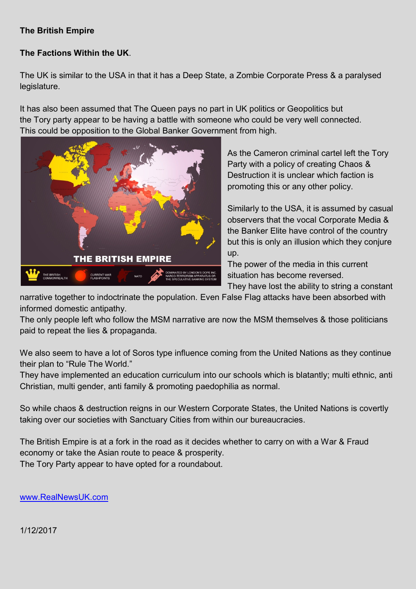## **The British Empire**

## **The Factions Within the UK**.

The UK is similar to the USA in that it has a Deep State, a Zombie Corporate Press & a paralysed legislature.

It has also been assumed that The Queen pays no part in UK politics or Geopolitics but the Tory party appear to be having a battle with someone who could be very well connected. This could be opposition to the Global Banker Government from high.



As the Cameron criminal cartel left the Tory Party with a policy of creating Chaos & Destruction it is unclear which faction is promoting this or any other policy.

Similarly to the USA, it is assumed by casual observers that the vocal Corporate Media & the Banker Elite have control of the country but this is only an illusion which they conjure up.

The power of the media in this current situation has become reversed.

They have lost the ability to string a constant

narrative together to indoctrinate the population. Even False Flag attacks have been absorbed with informed domestic antipathy.

The only people left who follow the MSM narrative are now the MSM themselves & those politicians paid to repeat the lies & propaganda.

We also seem to have a lot of Soros type influence coming from the United Nations as they continue their plan to "Rule The World."

They have implemented an education curriculum into our schools which is blatantly; multi ethnic, anti Christian, multi gender, anti family & promoting paedophilia as normal.

So while chaos & destruction reigns in our Western Corporate States, the United Nations is covertly taking over our societies with Sanctuary Cities from within our bureaucracies.

The British Empire is at a fork in the road as it decides whether to carry on with a War & Fraud economy or take the Asian route to peace & prosperity. The Tory Party appear to have opted for a roundabout.

[www.RealNewsUK.com](http://www.realnewsuk.com/)

1/12/2017